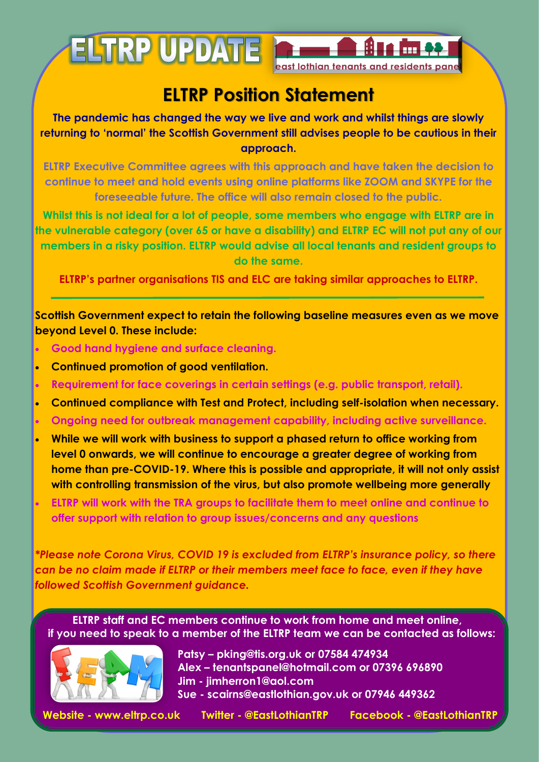

## **ELTRP Position Statement**

**The pandemic has changed the way we live and work and whilst things are slowly returning to 'normal' the Scottish Government still advises people to be cautious in their approach.** 

**ELTRP Executive Committee agrees with this approach and have taken the decision to continue to meet and hold events using online platforms like ZOOM and SKYPE for the foreseeable future. The office will also remain closed to the public.**

**Whilst this is not ideal for a lot of people, some members who engage with ELTRP are in the vulnerable category (over 65 or have a disability) and ELTRP EC will not put any of our members in a risky position. ELTRP would advise all local tenants and resident groups to do the same.**

**ELTRP's partner organisations TIS and ELC are taking similar approaches to ELTRP.**

**Scottish Government expect to retain the following baseline measures even as we move beyond Level 0. These include:** 

- **Good hand hygiene and surface cleaning.**
- **Continued promotion of good ventilation.**
- **Requirement for face coverings in certain settings (e.g. public transport, retail).**
- **Continued compliance with Test and Protect, including self-isolation when necessary.**
- **Ongoing need for outbreak management capability, including active surveillance.**
- **While we will work with business to support a phased return to office working from level 0 onwards, we will continue to encourage a greater degree of working from home than pre-COVID-19. Where this is possible and appropriate, it will not only assist with controlling transmission of the virus, but also promote wellbeing more generally**
- **ELTRP will work with the TRA groups to facilitate them to meet online and continue to offer support with relation to group issues/concerns and any questions**

*\*Please note Corona Virus, COVID 19 is excluded from ELTRP's insurance policy, so there can be no claim made if ELTRP or their members meet face to face, even if they have followed Scottish Government guidance.* 

**ELTRP staff and EC members continue to work from home and meet online, if you need to speak to a member of the ELTRP team we can be contacted as follows:** 



 **Patsy – pking@tis.org.uk or 07584 474934 Alex – tenantspanel@hotmail.com or 07396 696890 Jim - jimherron1@aol.com Sue - scairns@eastlothian.gov.uk or 07946 449362** 

 **Website - www.eltrp.co.uk Twitter - @EastLothianTRP Facebook - @EastLothianTRP**